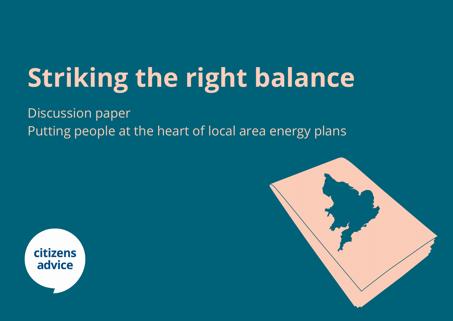# **Striking the right balance**

Discussion paper Putting people at the heart of local area energy plans



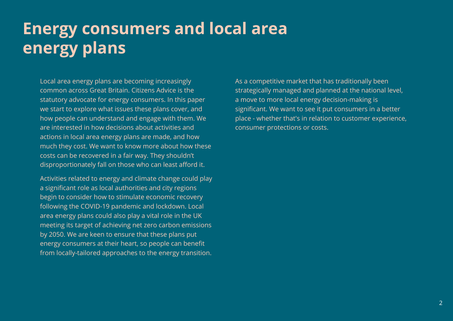## **Energy consumers and local area energy plans**

Local area energy plans are becoming increasingly common across Great Britain. Citizens Advice is the statutory advocate for energy consumers. In this paper we start to explore what issues these plans cover, and how people can understand and engage with them. We are interested in how decisions about activities and actions in local area energy plans are made, and how much they cost. We want to know more about how these costs can be recovered in a fair way. They shouldn't disproportionately fall on those who can least afford it.

Activities related to energy and climate change could play a significant role as local authorities and city regions begin to consider how to stimulate economic recovery following the COVID-19 pandemic and lockdown. Local area energy plans could also play a vital role in the UK meeting its target of achieving net zero carbon emissions by 2050. We are keen to ensure that these plans put energy consumers at their heart, so people can benefit from locally-tailored approaches to the energy transition.

As a competitive market that has traditionally been strategically managed and planned at the national level, a move to more local energy decision-making is significant. We want to see it put consumers in a better place - whether that's in relation to customer experience, consumer protections or costs.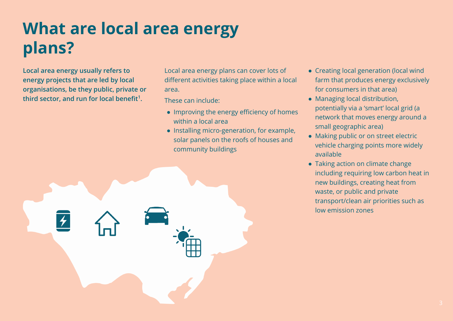## **What are local area energy plans?**

**Local area energy usually refers to energy projects that are led by local organisations, be they public, private or third sector, and run for local benefit<sup>1</sup> .**

Local area energy plans can cover lots of different activities taking place within a local area.

These can include:

- Improving the energy efficiency of homes within a local area
- Installing micro-generation, for example, solar panels on the roofs of houses and community buildings
- Creating local generation (local wind farm that produces energy exclusively for consumers in that area)
- Managing local distribution, potentially via a 'smart' local grid (a network that moves energy around a small geographic area)
- Making public or on street electric vehicle charging points more widely available
- Taking action on climate change including requiring low carbon heat in new buildings, creating heat from waste, or public and private transport/clean air priorities such as low emission zones

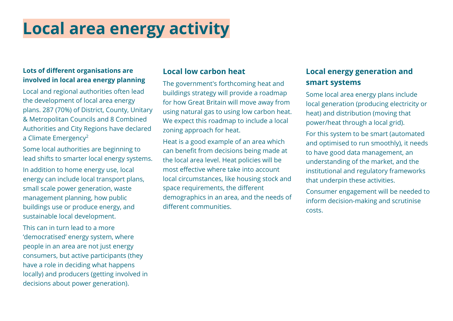## **Local area energy activity**

#### **Lots of different organisations are involved in local area energy planning**

Local and regional authorities often lead the development of local area energy plans. 287 (70%) of District, County, Unitary & Metropolitan Councils and 8 Combined Authorities and City Regions have declared a Climate Emergency<sup>2</sup>

Some local authorities are beginning to lead shifts to smarter local energy systems.

In addition to home energy use, local energy can include local transport plans, small scale power generation, waste management planning, how public buildings use or produce energy, and sustainable local development.

This can in turn lead to a more 'democratised' energy system, where people in an area are not just energy consumers, but active participants (they have a role in deciding what happens locally) and producers (getting involved in decisions about power generation).

#### **Local low carbon heat**

The government's forthcoming heat and buildings strategy will provide a roadmap for how Great Britain will move away from using natural gas to using low carbon heat. We expect this roadmap to include a local zoning approach for heat.

Heat is a good example of an area which can benefit from decisions being made at the local area level. Heat policies will be most effective where take into account local circumstances, like housing stock and space requirements, the different demographics in an area, and the needs of different communities.

### **Local energy generation and smart systems**

Some local area energy plans include local generation (producing electricity or heat) and distribution (moving that power/heat through a local grid).

For this system to be smart (automated and optimised to run smoothly), it needs to have good data management, an understanding of the market, and the institutional and regulatory frameworks that underpin these activities.

Consumer engagement will be needed to inform decision-making and scrutinise costs.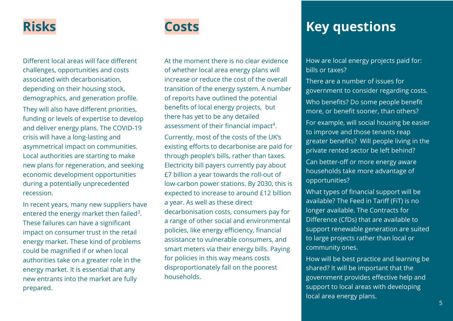### **Risks**

Different local areas will face different challenges, opportunities and costs associated with decarbonisation, depending on their housing stock, demographics, and generation profile. They will also have different priorities, funding or levels of expertise to develop and deliver energy plans. The COVID-19 crisis will have a long-lasting and asymmetrical impact on communities. Local authorities are starting to make new plans for regeneration, and seeking economic development opportunities during a potentially unprecedented recession.

In recent years, many new suppliers have entered the energy market then failed<sup>3</sup>. These failures can have a significant impact on consumer trust in the retail energy market. These kind of problems could be magnified if or when local authorities take on a greater role in the energy market. It is essential that any new entrants into the market are fully prepared.



At the moment there is no clear evidence of whether local area energy plans will increase or reduce the cost of the overall transition of the energy system. A number of reports have outlined the potential benefits of local energy projects, but there has yet to be any detailed assessment of their financial impact<sup>4</sup>.

Currently, most of the costs of the UK's existing efforts to decarbonise are paid for through people's bills, rather than taxes. Electricity bill payers currently pay about £7 billion a year towards the roll-out of low-carbon power stations. By 2030, this is expected to increase to around £12 billion a year. As well as these direct decarbonisation costs, consumers pay for a range of other social and environmental policies, like energy efficiency, financial assistance to vulnerable consumers, and smart meters via their energy bills. Paying for policies in this way means costs disproportionately fall on the poorest households.

## **Costs Key questions**

How are local energy projects paid for: bills or taxes?

There are a number of issues for government to consider regarding costs. Who benefits? Do some people benefit more, or benefit sooner, than others?

For example, will social housing be easier to improve and those tenants reap greater benefits? Will people living in the private rented sector be left behind?

Can better-off or more energy aware households take more advantage of opportunities?

What types of financial support will be available? The Feed in Tariff (FiT) is no longer available. The Contracts for Difference (CfDs) that are available to support renewable generation are suited to large projects rather than local or community ones.

How will be best practice and learning be shared? It will be important that the government provides effective help and support to local areas with developing local area energy plans.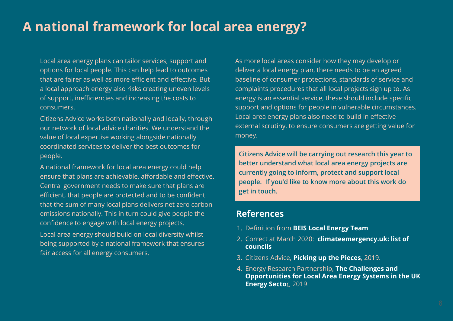### **A national framework for local area energy?**

Local area energy plans can tailor services, support and options for local people. This can help lead to outcomes that are fairer as well as more efficient and effective. But a local approach energy also risks creating uneven levels of support, inefficiencies and increasing the costs to consumers.

Citizens Advice works both nationally and locally, through our network of local advice charities. We understand the value of local expertise working alongside nationally coordinated services to deliver the best outcomes for people.

A national framework for local area energy could help ensure that plans are achievable, affordable and effective. Central government needs to make sure that plans are efficient, that people are protected and to be confident that the sum of many local plans delivers net zero carbon emissions nationally. This in turn could give people the confidence to engage with local energy projects.

Local area energy should build on local diversity whilst being supported by a national framework that ensures fair access for all energy consumers.

As more local areas consider how they may develop or deliver a local energy plan, there needs to be an agreed baseline of consumer protections, standards of service and complaints procedures that all local projects sign up to. As energy is an essential service, these should include specific support and options for people in vulnerable circumstances. Local area energy plans also need to build in effective external scrutiny, to ensure consumers are getting value for money.

**Citizens Advice will be carrying out research this year to better understand what local area energy projects are currently going to inform, protect and support local people. If you'd like to know more about this work do get in touch.** 

#### **References**

- 1. Definition from **[BEIS Local Energy Team](https://hub.communityenergyengland.org/resources/BEIS-Local-Energy-Team/)**
- 2. Correct at March 2020: **[climateemergency.uk: list of](https://www.climateemergency.uk/blog/list-of-councils/)  [councils](https://www.climateemergency.uk/blog/list-of-councils/)**
- 3. Citizens Advice, **[Picking up the Pieces](https://www.citizensadvice.org.uk/about-us/policy/policy-research-topics/energy-policy-research-and-consultation-responses/energy-policy-research/picking-up-the-pieces/)**, 2019.
- 4. Energy Research Partnership, **[The Challenges and](https://erpuk.org/wp-content/uploads/2020/01/4573_local_area_energy_report_2nd.pdf)  [Opportunities for Local Area Energy Systems in the UK](https://erpuk.org/wp-content/uploads/2020/01/4573_local_area_energy_report_2nd.pdf)  [Energy Secto](https://erpuk.org/wp-content/uploads/2020/01/4573_local_area_energy_report_2nd.pdf)**r, 2019.